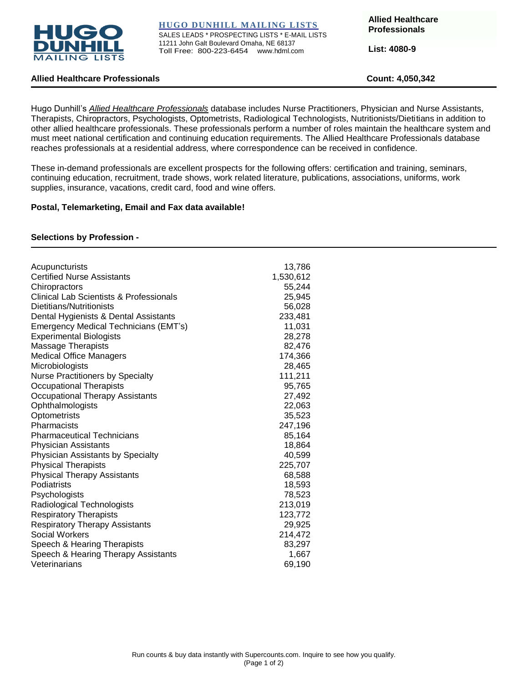

**HUGO DUNHILL MAILING LISTS**

SALES LEADS \* PROSPECTING LISTS \* E-MAIL LISTS 11211 John Galt Boulevard Omaha, NE 68137 Toll Free: 800-223-6454 www.hdml.com

**Allied Healthcare Professionals**

**List: 4080-9**

# **Allied Healthcare Professionals Count: 4,050,342**

Hugo Dunhill's *Allied Healthcare Professionals* database includes Nurse Practitioners, Physician and Nurse Assistants, Therapists, Chiropractors, Psychologists, Optometrists, Radiological Technologists, Nutritionists/Dietitians in addition to other allied healthcare professionals. These professionals perform a number of roles maintain the healthcare system and must meet national certification and continuing education requirements. The Allied Healthcare Professionals database reaches professionals at a residential address, where correspondence can be received in confidence.

These in-demand professionals are excellent prospects for the following offers: certification and training, seminars, continuing education, recruitment, trade shows, work related literature, publications, associations, uniforms, work supplies, insurance, vacations, credit card, food and wine offers.

#### **Postal, Telemarketing, Email and Fax data available!**

#### **Selections by Profession -**

| Acupuncturists                          | 13,786    |
|-----------------------------------------|-----------|
| <b>Certified Nurse Assistants</b>       | 1,530,612 |
| Chiropractors                           | 55,244    |
| Clinical Lab Scientists & Professionals | 25,945    |
| Dietitians/Nutritionists                | 56,028    |
| Dental Hygienists & Dental Assistants   | 233,481   |
| Emergency Medical Technicians (EMT's)   | 11,031    |
| <b>Experimental Biologists</b>          | 28,278    |
| <b>Massage Therapists</b>               | 82,476    |
| <b>Medical Office Managers</b>          | 174,366   |
| Microbiologists                         | 28,465    |
| <b>Nurse Practitioners by Specialty</b> | 111,211   |
| <b>Occupational Therapists</b>          | 95,765    |
| <b>Occupational Therapy Assistants</b>  | 27,492    |
| Ophthalmologists                        | 22,063    |
| Optometrists                            | 35,523    |
| Pharmacists                             | 247,196   |
| <b>Pharmaceutical Technicians</b>       | 85,164    |
| <b>Physician Assistants</b>             | 18,864    |
| Physician Assistants by Specialty       | 40,599    |
| <b>Physical Therapists</b>              | 225,707   |
| <b>Physical Therapy Assistants</b>      | 68,588    |
| Podiatrists                             | 18,593    |
| Psychologists                           | 78,523    |
| Radiological Technologists              | 213,019   |
| <b>Respiratory Therapists</b>           | 123,772   |
| <b>Respiratory Therapy Assistants</b>   | 29,925    |
| Social Workers                          | 214,472   |
| Speech & Hearing Therapists             | 83,297    |
| Speech & Hearing Therapy Assistants     | 1,667     |
| Veterinarians                           | 69,190    |
|                                         |           |